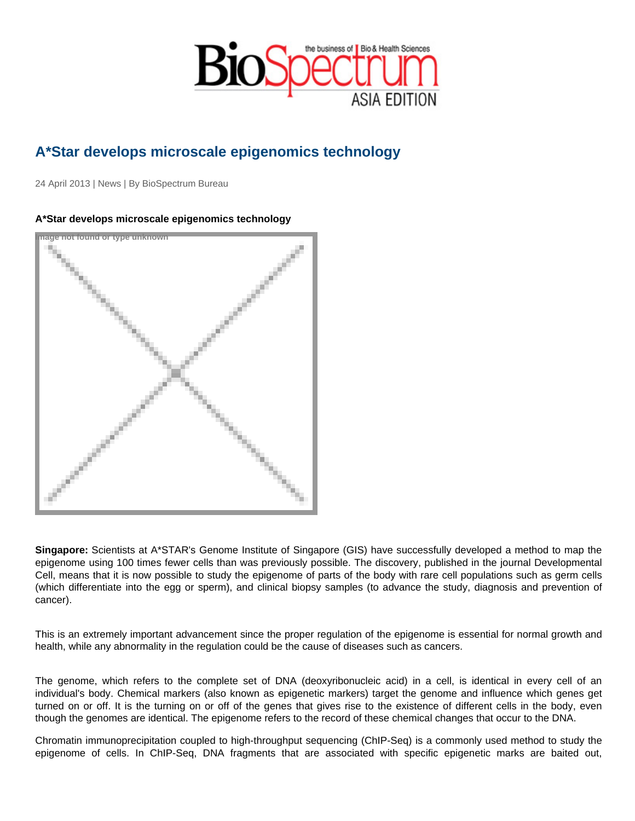## A\*Star develops microscale epigenomics technology

24 April 2013 | News | By BioSpectrum Bureau

## A\*Star develops microscale epigenomics technology

Image not found or type unknown

Singapore: Scientists at A\*STAR's Genome Institute of Singapore (GIS) have successfully developed a method to map the epigenome using 100 times fewer cells than was previously possible. The discovery, published in the journal Developmental Cell, means that it is now possible to study the epigenome of parts of the body with rare cell populations such as germ cells (which differentiate into the egg or sperm), and clinical biopsy samples (to advance the study, diagnosis and prevention of cancer).

This is an extremely important advancement since the proper regulation of the epigenome is essential for normal growth and health, while any abnormality in the regulation could be the cause of diseases such as cancers.

The genome, which refers to the complete set of DNA (deoxyribonucleic acid) in a cell, is identical in every cell of an individual's body. Chemical markers (also known as epigenetic markers) target the genome and influence which genes get turned on or off. It is the turning on or off of the genes that gives rise to the existence of different cells in the body, even though the genomes are identical. The epigenome refers to the record of these chemical changes that occur to the DNA.

Chromatin immunoprecipitation coupled to high-throughput sequencing (ChIP-Seq) is a commonly used method to study the epigenome of cells. In ChIP-Seq, DNA fragments that are associated with specific epigenetic marks are baited out,